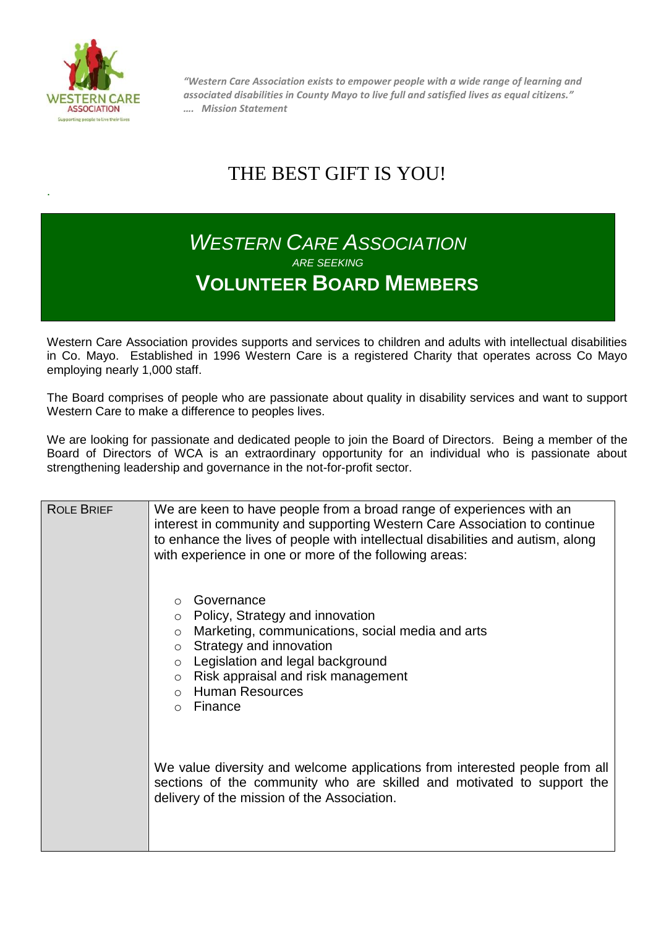

.

*"Western Care Association exists to empower people with a wide range of learning and associated disabilities in County Mayo to live full and satisfied lives as equal citizens." …. Mission Statement*

## THE BEST GIFT IS YOU!

## *WESTERN CARE ASSOCIATION ARE SEEKING* **VOLUNTEER BOARD MEMBERS**

Western Care Association provides supports and services to children and adults with intellectual disabilities in Co. Mayo. Established in 1996 Western Care is a registered Charity that operates across Co Mayo employing nearly 1,000 staff.

The Board comprises of people who are passionate about quality in disability services and want to support Western Care to make a difference to peoples lives.

We are looking for passionate and dedicated people to join the Board of Directors. Being a member of the Board of Directors of WCA is an extraordinary opportunity for an individual who is passionate about strengthening leadership and governance in the not-for-profit sector.

| <b>ROLE BRIEF</b> | We are keen to have people from a broad range of experiences with an<br>interest in community and supporting Western Care Association to continue<br>to enhance the lives of people with intellectual disabilities and autism, along<br>with experience in one or more of the following areas:               |
|-------------------|--------------------------------------------------------------------------------------------------------------------------------------------------------------------------------------------------------------------------------------------------------------------------------------------------------------|
|                   | Governance<br>Policy, Strategy and innovation<br>$\circ$<br>Marketing, communications, social media and arts<br>$\circ$<br>Strategy and innovation<br>$\circ$<br>Legislation and legal background<br>$\circ$<br>Risk appraisal and risk management<br>$\circ$<br><b>Human Resources</b><br>Finance<br>$\cap$ |
|                   | We value diversity and welcome applications from interested people from all<br>sections of the community who are skilled and motivated to support the<br>delivery of the mission of the Association.                                                                                                         |